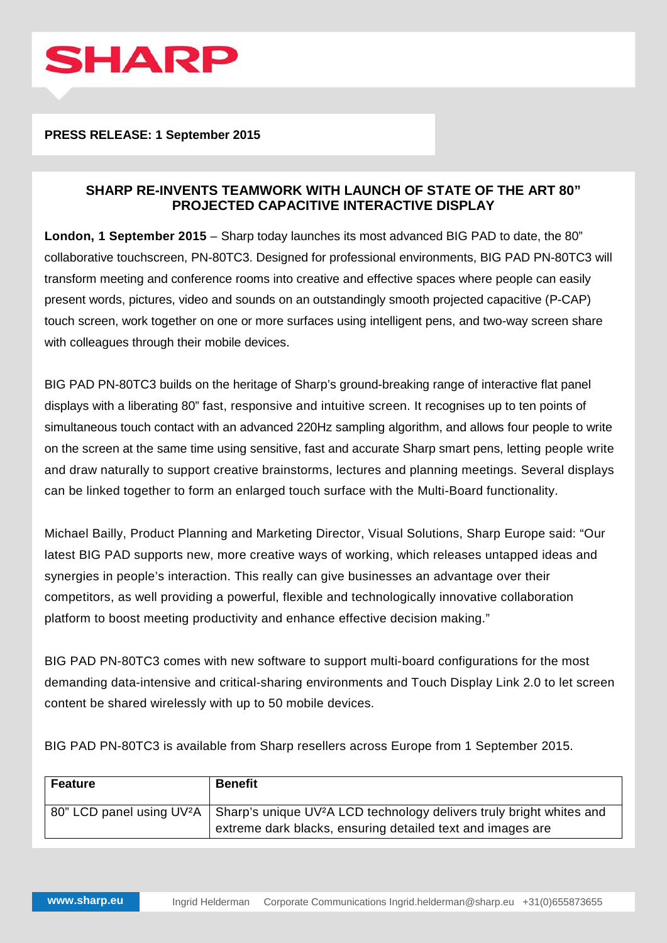

## **PRESS RELEASE: 1 September 2015**

## **SHARP RE-INVENTS TEAMWORK WITH LAUNCH OF STATE OF THE ART 80" PROJECTED CAPACITIVE INTERACTIVE DISPLAY**

**London, 1 September 2015** – Sharp today launches its most advanced BIG PAD to date, the 80" collaborative touchscreen, PN-80TC3. Designed for professional environments, BIG PAD PN-80TC3 will transform meeting and conference rooms into creative and effective spaces where people can easily present words, pictures, video and sounds on an outstandingly smooth projected capacitive (P-CAP) touch screen, work together on one or more surfaces using intelligent pens, and two-way screen share with colleagues through their mobile devices.

BIG PAD PN-80TC3 builds on the heritage of Sharp's ground-breaking range of interactive flat panel displays with a liberating 80" fast, responsive and intuitive screen. It recognises up to ten points of simultaneous touch contact with an advanced 220Hz sampling algorithm, and allows four people to write on the screen at the same time using sensitive, fast and accurate Sharp smart pens, letting people write and draw naturally to support creative brainstorms, lectures and planning meetings. Several displays can be linked together to form an enlarged touch surface with the Multi-Board functionality.

Michael Bailly, Product Planning and Marketing Director, Visual Solutions, Sharp Europe said: "Our latest BIG PAD supports new, more creative ways of working, which releases untapped ideas and synergies in people's interaction. This really can give businesses an advantage over their competitors, as well providing a powerful, flexible and technologically innovative collaboration platform to boost meeting productivity and enhance effective decision making."

BIG PAD PN-80TC3 comes with new software to support multi-board configurations for the most demanding data-intensive and critical-sharing environments and Touch Display Link 2.0 to let screen content be shared wirelessly with up to 50 mobile devices.

BIG PAD PN-80TC3 is available from Sharp resellers across Europe from 1 September 2015.

| <b>Feature</b> | <b>Benefit</b>                                                                                                                                                                         |
|----------------|----------------------------------------------------------------------------------------------------------------------------------------------------------------------------------------|
|                | 80" LCD panel using UV <sup>2</sup> A   Sharp's unique UV <sup>2</sup> A LCD technology delivers truly bright whites and<br>extreme dark blacks, ensuring detailed text and images are |